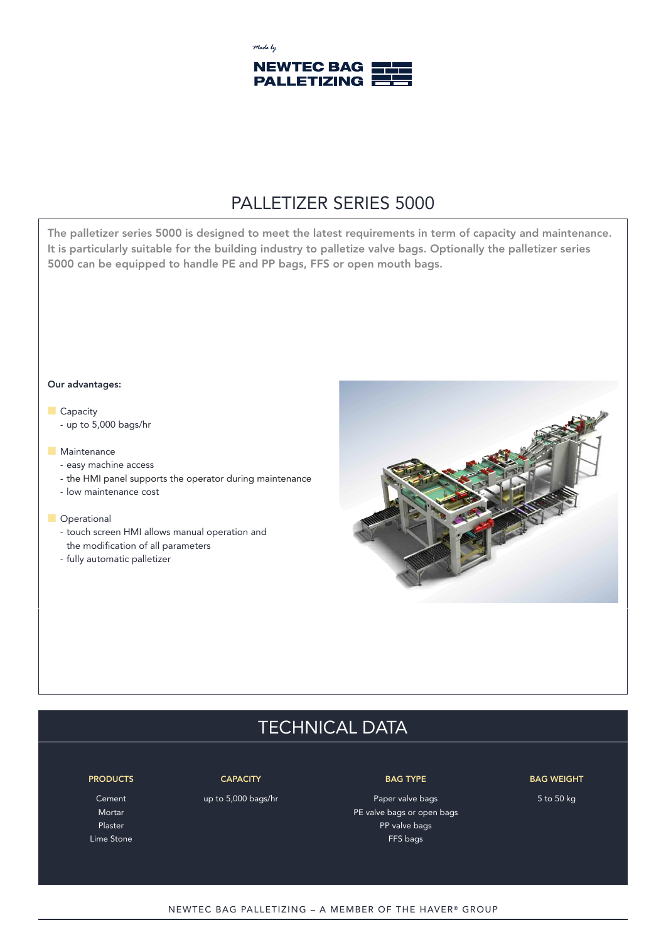

## PALLETIZER SERIES 5000

The palletizer series 5000 is designed to meet the latest requirements in term of capacity and maintenance. **It is particularly suitable for the building industry to palletize valve bags. Optionally the palletizer series 5000 can be equipped to handle PE and PP bags, FFS or open mouth bags.**

#### **Our advantages:**

- **Capacity** 
	- up to 5,000 bags/hr

### **n** Maintenance

- easy machine access
- the HMI panel supports the operator during maintenance
- low maintenance cost

#### **n** Operational

- touch screen HMI allows manual operation and the modification of all parameters
- fully automatic palletizer



# TECHNICAL DATA

#### **PRODUCTS CAPACITY BAG TYPE BAG WEIGHT**

Cement Comes up to 5,000 bags/hr Paper valve bags 5 to 50 kg 5 to 50 kg Mortar PE valve bags or open bags of the part of the valve bags of open bags of  $P$ E valve bags or open bags Plaster Paster Paster Product and the product of the product of the PP valve bags Lime Stone FFS bags

#### NEWTEC BAG PALLETIZING - A MEMBER OF THE HAVER® GROUP